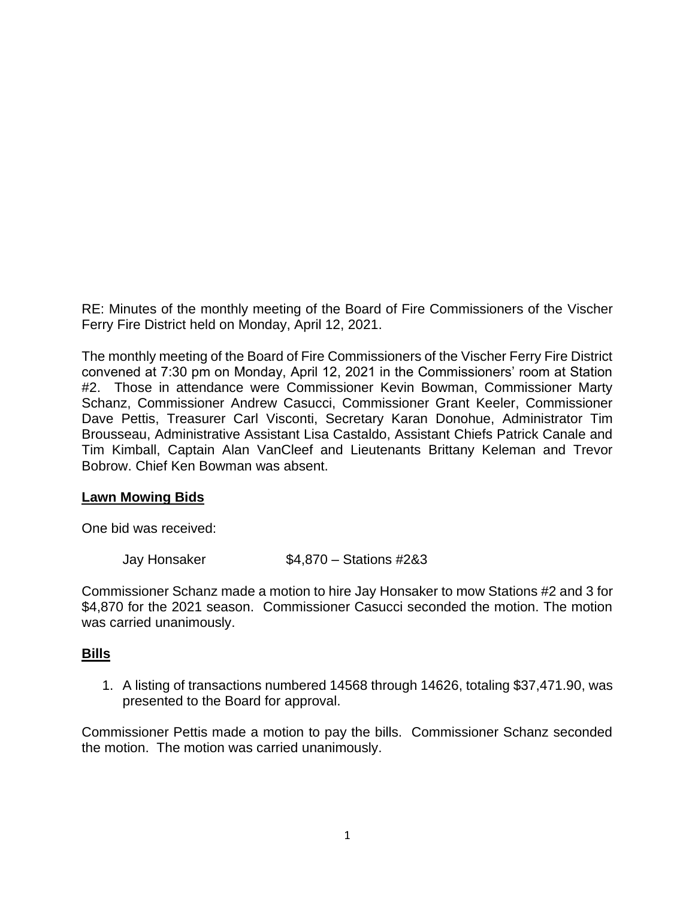RE: Minutes of the monthly meeting of the Board of Fire Commissioners of the Vischer Ferry Fire District held on Monday, April 12, 2021.

The monthly meeting of the Board of Fire Commissioners of the Vischer Ferry Fire District convened at 7:30 pm on Monday, April 12, 2021 in the Commissioners' room at Station #2. Those in attendance were Commissioner Kevin Bowman, Commissioner Marty Schanz, Commissioner Andrew Casucci, Commissioner Grant Keeler, Commissioner Dave Pettis, Treasurer Carl Visconti, Secretary Karan Donohue, Administrator Tim Brousseau, Administrative Assistant Lisa Castaldo, Assistant Chiefs Patrick Canale and Tim Kimball, Captain Alan VanCleef and Lieutenants Brittany Keleman and Trevor Bobrow. Chief Ken Bowman was absent.

#### **Lawn Mowing Bids**

One bid was received:

Jay Honsaker \$4,870 – Stations #2&3

Commissioner Schanz made a motion to hire Jay Honsaker to mow Stations #2 and 3 for \$4,870 for the 2021 season. Commissioner Casucci seconded the motion. The motion was carried unanimously.

#### **Bills**

1. A listing of transactions numbered 14568 through 14626, totaling \$37,471.90, was presented to the Board for approval.

Commissioner Pettis made a motion to pay the bills. Commissioner Schanz seconded the motion. The motion was carried unanimously.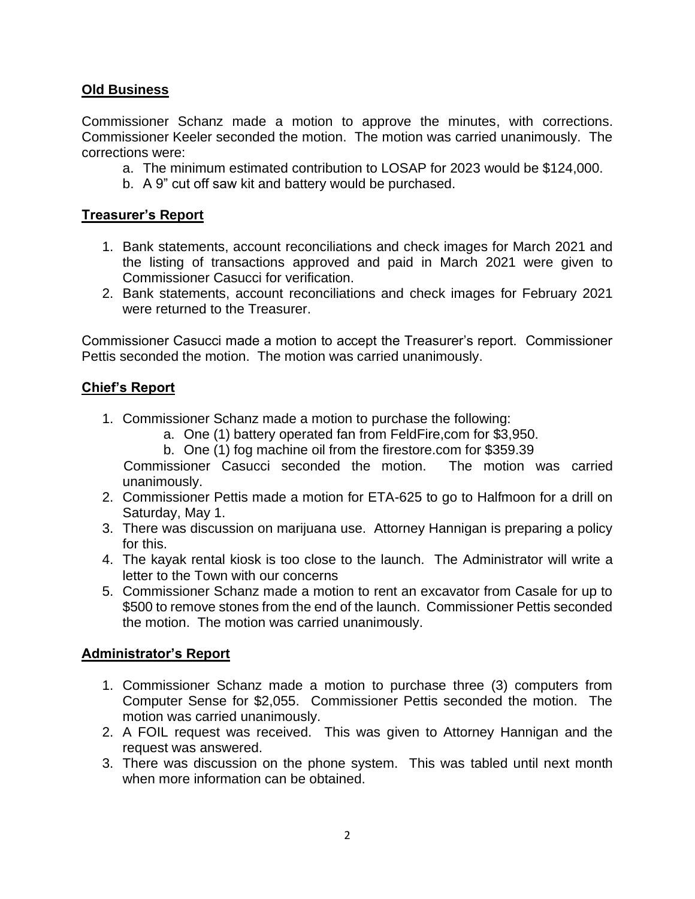# **Old Business**

Commissioner Schanz made a motion to approve the minutes, with corrections. Commissioner Keeler seconded the motion. The motion was carried unanimously. The corrections were:

- a. The minimum estimated contribution to LOSAP for 2023 would be \$124,000.
- b. A 9" cut off saw kit and battery would be purchased.

# **Treasurer's Report**

- 1. Bank statements, account reconciliations and check images for March 2021 and the listing of transactions approved and paid in March 2021 were given to Commissioner Casucci for verification.
- 2. Bank statements, account reconciliations and check images for February 2021 were returned to the Treasurer.

Commissioner Casucci made a motion to accept the Treasurer's report. Commissioner Pettis seconded the motion. The motion was carried unanimously.

## **Chief's Report**

- 1. Commissioner Schanz made a motion to purchase the following:
	- a. One (1) battery operated fan from FeldFire,com for \$3,950.
	- b. One (1) fog machine oil from the firestore.com for \$359.39

 Commissioner Casucci seconded the motion. The motion was carried unanimously.

- 2. Commissioner Pettis made a motion for ETA-625 to go to Halfmoon for a drill on Saturday, May 1.
- 3. There was discussion on marijuana use. Attorney Hannigan is preparing a policy for this.
- 4. The kayak rental kiosk is too close to the launch. The Administrator will write a letter to the Town with our concerns
- 5. Commissioner Schanz made a motion to rent an excavator from Casale for up to \$500 to remove stones from the end of the launch. Commissioner Pettis seconded the motion. The motion was carried unanimously.

# **Administrator's Report**

- 1. Commissioner Schanz made a motion to purchase three (3) computers from Computer Sense for \$2,055. Commissioner Pettis seconded the motion. The motion was carried unanimously.
- 2. A FOIL request was received. This was given to Attorney Hannigan and the request was answered.
- 3. There was discussion on the phone system. This was tabled until next month when more information can be obtained.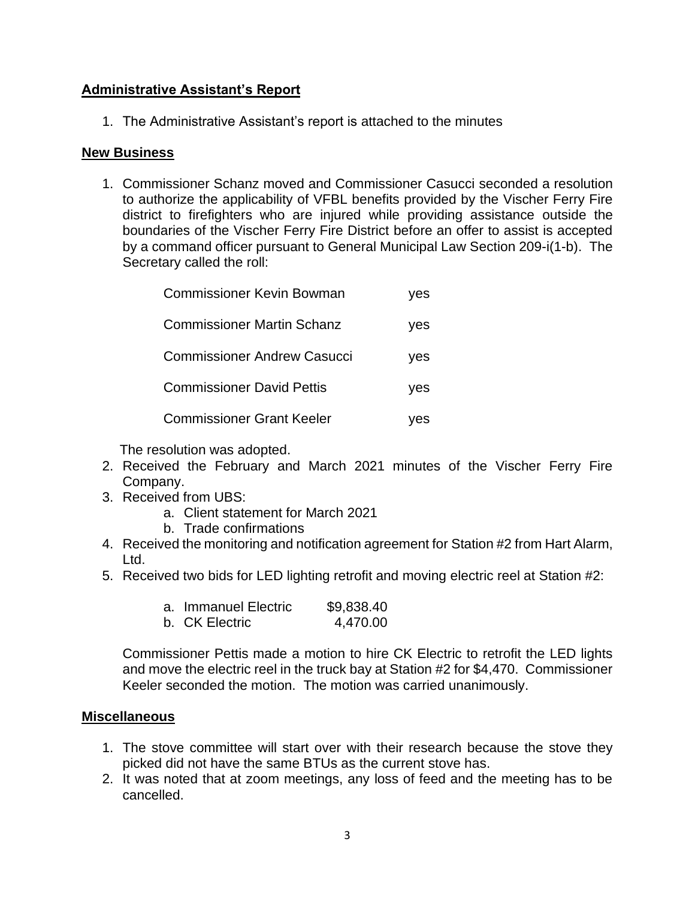## **Administrative Assistant's Report**

1. The Administrative Assistant's report is attached to the minutes

#### **New Business**

1. Commissioner Schanz moved and Commissioner Casucci seconded a resolution to authorize the applicability of VFBL benefits provided by the Vischer Ferry Fire district to firefighters who are injured while providing assistance outside the boundaries of the Vischer Ferry Fire District before an offer to assist is accepted by a command officer pursuant to General Municipal Law Section 209-i(1-b). The Secretary called the roll:

| <b>Commissioner Kevin Bowman</b>   | yes |
|------------------------------------|-----|
| <b>Commissioner Martin Schanz</b>  | ves |
| <b>Commissioner Andrew Casucci</b> | yes |
| <b>Commissioner David Pettis</b>   | yes |
| <b>Commissioner Grant Keeler</b>   | ves |

The resolution was adopted.

- 2. Received the February and March 2021 minutes of the Vischer Ferry Fire Company.
- 3. Received from UBS:
	- a. Client statement for March 2021
	- b. Trade confirmations
- 4. Received the monitoring and notification agreement for Station #2 from Hart Alarm, Ltd.
- 5. Received two bids for LED lighting retrofit and moving electric reel at Station #2:

| a. Immanuel Electric | \$9,838.40 |
|----------------------|------------|
| b. CK Electric       | 4,470.00   |

Commissioner Pettis made a motion to hire CK Electric to retrofit the LED lights and move the electric reel in the truck bay at Station #2 for \$4,470. Commissioner Keeler seconded the motion. The motion was carried unanimously.

### **Miscellaneous**

- 1. The stove committee will start over with their research because the stove they picked did not have the same BTUs as the current stove has.
- 2. It was noted that at zoom meetings, any loss of feed and the meeting has to be cancelled.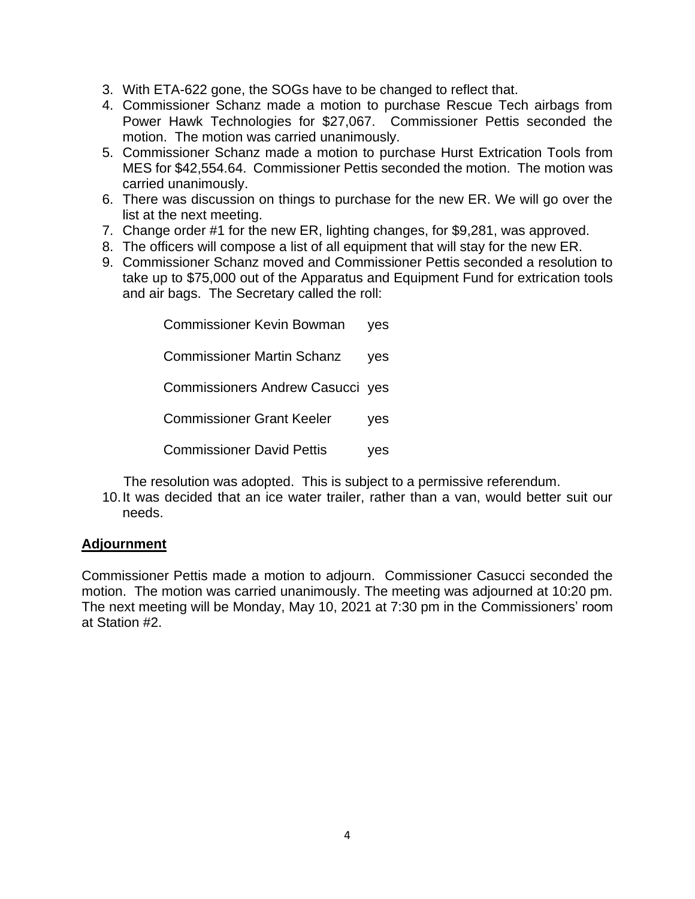- 3. With ETA-622 gone, the SOGs have to be changed to reflect that.
- 4. Commissioner Schanz made a motion to purchase Rescue Tech airbags from Power Hawk Technologies for \$27,067. Commissioner Pettis seconded the motion. The motion was carried unanimously.
- 5. Commissioner Schanz made a motion to purchase Hurst Extrication Tools from MES for \$42,554.64. Commissioner Pettis seconded the motion. The motion was carried unanimously.
- 6. There was discussion on things to purchase for the new ER. We will go over the list at the next meeting.
- 7. Change order #1 for the new ER, lighting changes, for \$9,281, was approved.
- 8. The officers will compose a list of all equipment that will stay for the new ER.
- 9. Commissioner Schanz moved and Commissioner Pettis seconded a resolution to take up to \$75,000 out of the Apparatus and Equipment Fund for extrication tools and air bags. The Secretary called the roll:

Commissioner Kevin Bowman yes Commissioner Martin Schanz yes Commissioners Andrew Casucci yes Commissioner Grant Keeler yes Commissioner David Pettis yes

The resolution was adopted. This is subject to a permissive referendum.

10.It was decided that an ice water trailer, rather than a van, would better suit our needs.

### **Adjournment**

Commissioner Pettis made a motion to adjourn. Commissioner Casucci seconded the motion. The motion was carried unanimously. The meeting was adjourned at 10:20 pm. The next meeting will be Monday, May 10, 2021 at 7:30 pm in the Commissioners' room at Station #2.